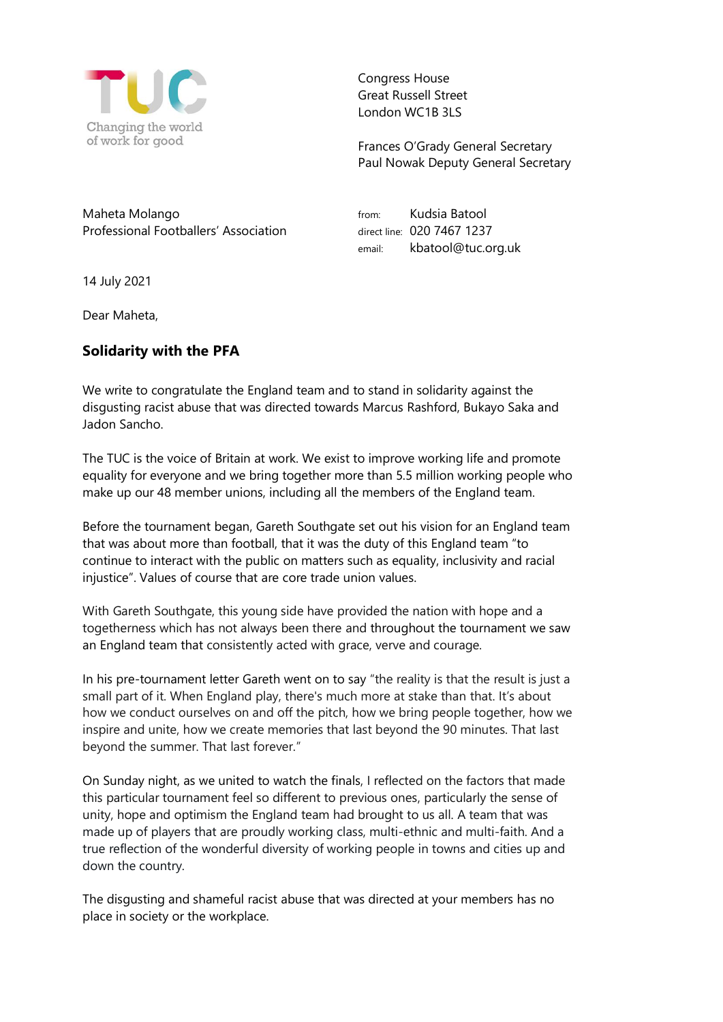

Congress House Great Russell Street London WC1B 3LS

Frances O'Grady General Secretary Paul Nowak Deputy General Secretary

Maheta Molango Professional Footballers' Association from: Kudsia Batool direct line: 020 7467 1237 email: kbatool@tuc.org.uk

14 July 2021

Dear Maheta,

## **Solidarity with the PFA**

We write to congratulate the England team and to stand in solidarity against the disgusting racist abuse that was directed towards Marcus Rashford, Bukayo Saka and Jadon Sancho.

The TUC is the voice of Britain at work. We exist to improve working life and promote equality for everyone and we bring together more than 5.5 million working people who make up our 48 member unions, including all the members of the England team.

Before the tournament began, Gareth Southgate set out his vision for an England team that was about more than football, that it was the duty of this England team "to continue to interact with the public on matters such as equality, inclusivity and racial injustice". Values of course that are core trade union values.

With Gareth Southgate, this young side have provided the nation with hope and a togetherness which has not always been there and throughout the tournament we saw an England team that consistently acted with grace, verve and courage.

In his pre-tournament letter Gareth went on to say "the reality is that the result is just a small part of it. When England play, there's much more at stake than that. It's about how we conduct ourselves on and off the pitch, how we bring people together, how we inspire and unite, how we create memories that last beyond the 90 minutes. That last beyond the summer. That last forever."

On Sunday night, as we united to watch the finals, I reflected on the factors that made this particular tournament feel so different to previous ones, particularly the sense of unity, hope and optimism the England team had brought to us all. A team that was made up of players that are proudly working class, multi-ethnic and multi-faith. And a true reflection of the wonderful diversity of working people in towns and cities up and down the country.

The disgusting and shameful racist abuse that was directed at your members has no place in society or the workplace.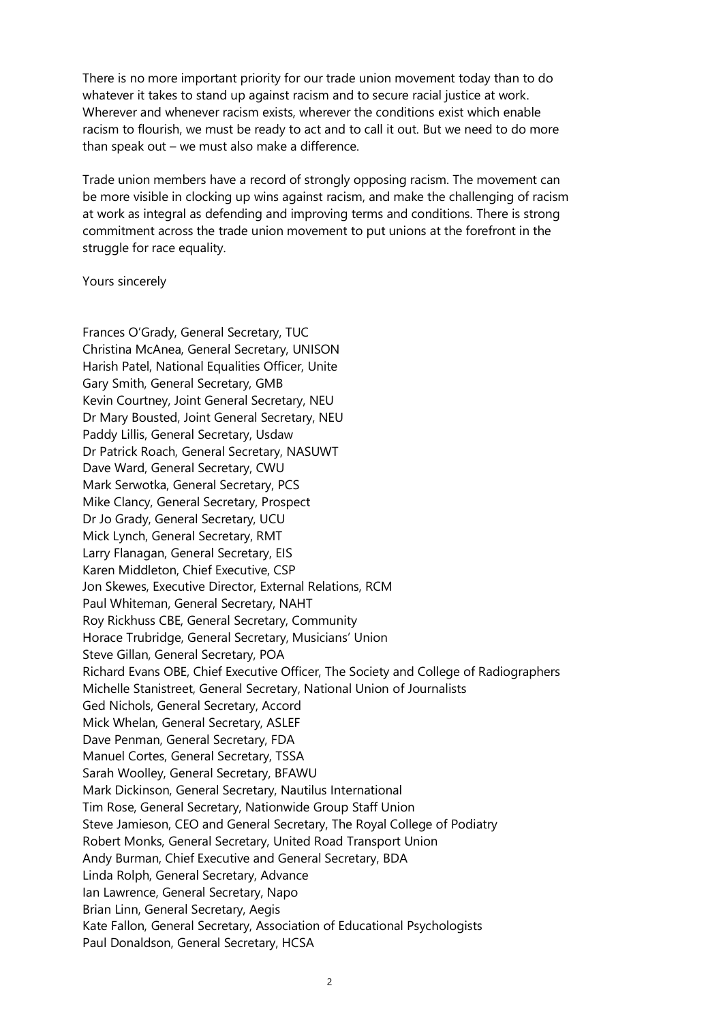There is no more important priority for our trade union movement today than to do whatever it takes to stand up against racism and to secure racial justice at work. Wherever and whenever racism exists, wherever the conditions exist which enable racism to flourish, we must be ready to act and to call it out. But we need to do more than speak out – we must also make a difference.

Trade union members have a record of strongly opposing racism. The movement can be more visible in clocking up wins against racism, and make the challenging of racism at work as integral as defending and improving terms and conditions. There is strong commitment across the trade union movement to put unions at the forefront in the struggle for race equality.

## Yours sincerely

Frances O'Grady, General Secretary, TUC Christina McAnea, General Secretary, UNISON Harish Patel, National Equalities Officer, Unite Gary Smith, General Secretary, GMB Kevin Courtney, Joint General Secretary, NEU Dr Mary Bousted, Joint General Secretary, NEU Paddy Lillis, General Secretary, Usdaw Dr Patrick Roach, General Secretary, NASUWT Dave Ward, General Secretary, CWU Mark Serwotka, General Secretary, PCS Mike Clancy, General Secretary, Prospect Dr Jo Grady, General Secretary, UCU Mick Lynch, General Secretary, RMT Larry Flanagan, General Secretary, EIS Karen Middleton, Chief Executive, CSP Jon Skewes, Executive Director, External Relations, RCM Paul Whiteman, General Secretary, NAHT Roy Rickhuss CBE, General Secretary, Community Horace Trubridge, General Secretary, Musicians' Union Steve Gillan, General Secretary, POA Richard Evans OBE, Chief Executive Officer, The Society and College of Radiographers Michelle Stanistreet, General Secretary, National Union of Journalists Ged Nichols, General Secretary, Accord Mick Whelan, General Secretary, ASLEF Dave Penman, General Secretary, FDA Manuel Cortes, General Secretary, TSSA Sarah Woolley, General Secretary, BFAWU Mark Dickinson, General Secretary, Nautilus International Tim Rose, General Secretary, Nationwide Group Staff Union Steve Jamieson, CEO and General Secretary, The Royal College of Podiatry Robert Monks, General Secretary, United Road Transport Union Andy Burman, Chief Executive and General Secretary, BDA Linda Rolph, General Secretary, Advance Ian Lawrence, General Secretary, Napo Brian Linn, General Secretary, Aegis Kate Fallon, General Secretary, Association of Educational Psychologists Paul Donaldson, General Secretary, HCSA